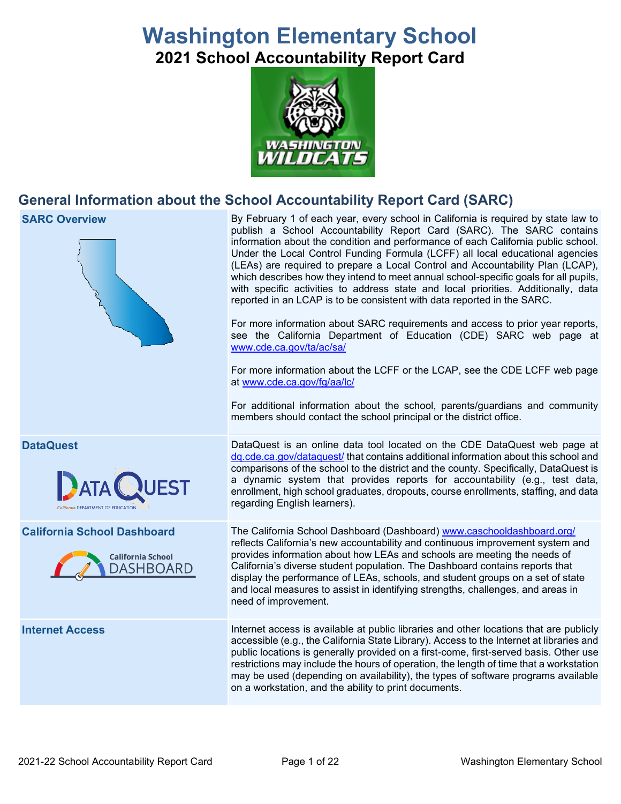# **Washington Elementary School 2021 School Accountability Report Card**



# **General Information about the School Accountability Report Card (SARC)**

**SARC Overview** By February 1 of each year, every school in California is required by state law to publish a School Accountability Report Card (SARC). The SARC contains information about the condition and performance of each California public school. Under the Local Control Funding Formula (LCFF) all local educational agencies (LEAs) are required to prepare a Local Control and Accountability Plan (LCAP), which describes how they intend to meet annual school-specific goals for all pupils, with specific activities to address state and local priorities. Additionally, data reported in an LCAP is to be consistent with data reported in the SARC. For more information about SARC requirements and access to prior year reports, see the California Department of Education (CDE) SARC web page at [www.cde.ca.gov/ta/ac/sa/](https://www.cde.ca.gov/ta/ac/sa/) For more information about the LCFF or the LCAP, see the CDE LCFF web page at [www.cde.ca.gov/fg/aa/lc/](https://www.cde.ca.gov/fg/aa/lc/) For additional information about the school, parents/guardians and community members should contact the school principal or the district office. **DataQuest** DataQuest is an online data tool located on the CDE DataQuest web page at [dq.cde.ca.gov/dataquest/](https://dq.cde.ca.gov/dataquest/) that contains additional information about this school and comparisons of the school to the district and the county. Specifically, DataQuest is **ATA** a dynamic system that provides reports for accountability (e.g., test data, enrollment, high school graduates, dropouts, course enrollments, staffing, and data regarding English learners). **California School Dashboard** The California School Dashboard (Dashboard) [www.caschooldashboard.org/](http://www.caschooldashboard.org/) reflects California's new accountability and continuous improvement system and provides information about how LEAs and schools are meeting the needs of **California School** California's diverse student population. The Dashboard contains reports that **DASHBOARD** display the performance of LEAs, schools, and student groups on a set of state and local measures to assist in identifying strengths, challenges, and areas in need of improvement. **Internet Access** Internet access is available at public libraries and other locations that are publicly accessible (e.g., the California State Library). Access to the Internet at libraries and public locations is generally provided on a first-come, first-served basis. Other use restrictions may include the hours of operation, the length of time that a workstation may be used (depending on availability), the types of software programs available on a workstation, and the ability to print documents.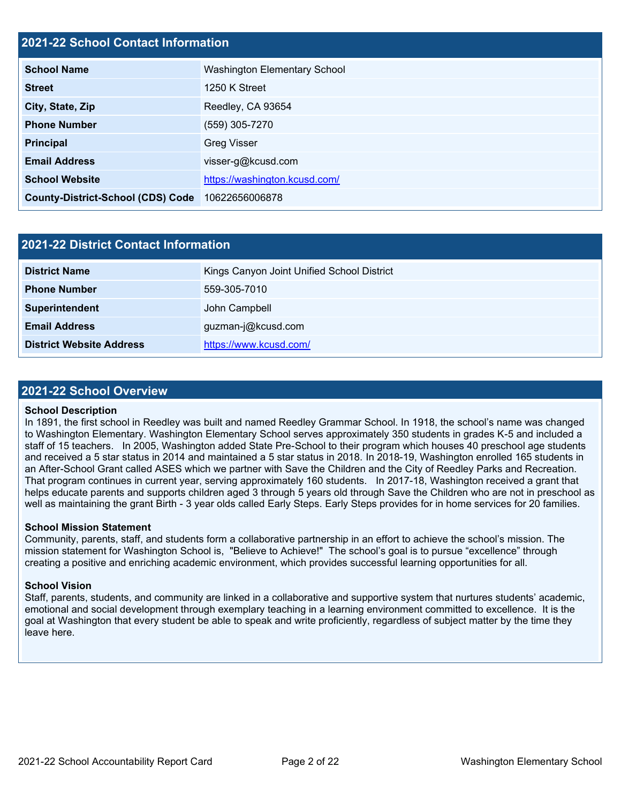### **2021-22 School Contact Information**

| <b>School Name</b>                       | <b>Washington Elementary School</b> |
|------------------------------------------|-------------------------------------|
| <b>Street</b>                            | 1250 K Street                       |
| City, State, Zip                         | Reedley, CA 93654                   |
| <b>Phone Number</b>                      | (559) 305-7270                      |
| <b>Principal</b>                         | <b>Greg Visser</b>                  |
| <b>Email Address</b>                     | visser-g@kcusd.com                  |
| <b>School Website</b>                    | https://washington.kcusd.com/       |
| <b>County-District-School (CDS) Code</b> | 10622656006878                      |

| 2021-22 District Contact Information |                                            |  |  |  |  |
|--------------------------------------|--------------------------------------------|--|--|--|--|
| <b>District Name</b>                 | Kings Canyon Joint Unified School District |  |  |  |  |
| <b>Phone Number</b>                  | 559-305-7010                               |  |  |  |  |
| Superintendent                       | John Campbell                              |  |  |  |  |
| <b>Email Address</b>                 | guzman-j@kcusd.com                         |  |  |  |  |
| <b>District Website Address</b>      | https://www.kcusd.com/                     |  |  |  |  |

### **2021-22 School Overview**

### **School Description**

In 1891, the first school in Reedley was built and named Reedley Grammar School. In 1918, the school's name was changed to Washington Elementary. Washington Elementary School serves approximately 350 students in grades K-5 and included a staff of 15 teachers. In 2005, Washington added State Pre-School to their program which houses 40 preschool age students and received a 5 star status in 2014 and maintained a 5 star status in 2018. In 2018-19, Washington enrolled 165 students in an After-School Grant called ASES which we partner with Save the Children and the City of Reedley Parks and Recreation. That program continues in current year, serving approximately 160 students. In 2017-18, Washington received a grant that helps educate parents and supports children aged 3 through 5 years old through Save the Children who are not in preschool as well as maintaining the grant Birth - 3 year olds called Early Steps. Early Steps provides for in home services for 20 families.

### **School Mission Statement**

Community, parents, staff, and students form a collaborative partnership in an effort to achieve the school's mission. The mission statement for Washington School is, "Believe to Achieve!" The school's goal is to pursue "excellence" through creating a positive and enriching academic environment, which provides successful learning opportunities for all.

### **School Vision**

Staff, parents, students, and community are linked in a collaborative and supportive system that nurtures students' academic, emotional and social development through exemplary teaching in a learning environment committed to excellence. It is the goal at Washington that every student be able to speak and write proficiently, regardless of subject matter by the time they leave here.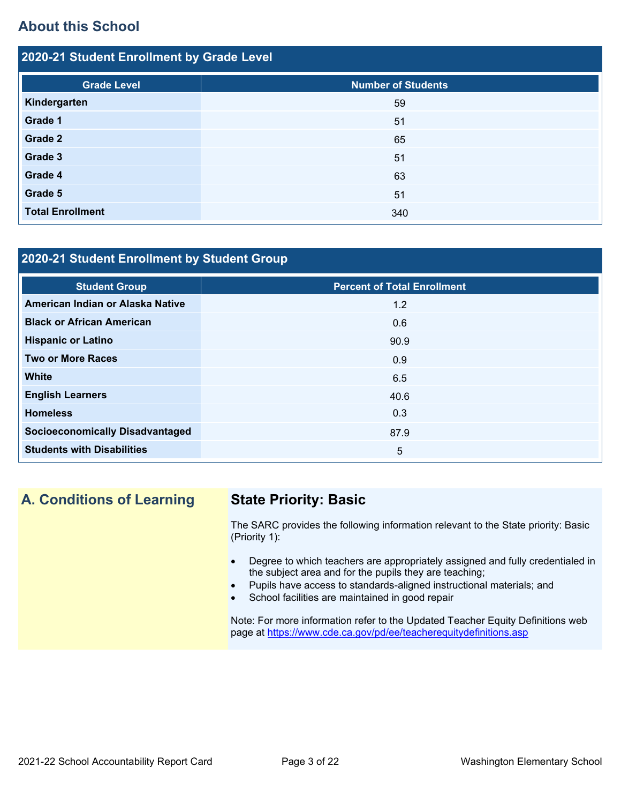# **About this School**

| 2020-21 Student Enrollment by Grade Level |                           |  |  |  |  |  |
|-------------------------------------------|---------------------------|--|--|--|--|--|
| <b>Grade Level</b>                        | <b>Number of Students</b> |  |  |  |  |  |
| Kindergarten                              | 59                        |  |  |  |  |  |
| Grade 1                                   | 51                        |  |  |  |  |  |
| Grade 2                                   | 65                        |  |  |  |  |  |
| Grade 3                                   | 51                        |  |  |  |  |  |
| Grade 4                                   | 63                        |  |  |  |  |  |
| Grade 5                                   | 51                        |  |  |  |  |  |
| <b>Total Enrollment</b>                   | 340                       |  |  |  |  |  |

### **2020-21 Student Enrollment by Student Group**

| <b>Student Group</b>                   | <b>Percent of Total Enrollment</b> |
|----------------------------------------|------------------------------------|
| American Indian or Alaska Native       | 1.2                                |
| <b>Black or African American</b>       | 0.6                                |
| <b>Hispanic or Latino</b>              | 90.9                               |
| <b>Two or More Races</b>               | 0.9                                |
| <b>White</b>                           | 6.5                                |
| <b>English Learners</b>                | 40.6                               |
| <b>Homeless</b>                        | 0.3                                |
| <b>Socioeconomically Disadvantaged</b> | 87.9                               |
| <b>Students with Disabilities</b>      | $5\overline{)}$                    |

# **A. Conditions of Learning State Priority: Basic**

The SARC provides the following information relevant to the State priority: Basic (Priority 1):

- Degree to which teachers are appropriately assigned and fully credentialed in the subject area and for the pupils they are teaching;
- Pupils have access to standards-aligned instructional materials; and
- School facilities are maintained in good repair

Note: For more information refer to the Updated Teacher Equity Definitions web page at<https://www.cde.ca.gov/pd/ee/teacherequitydefinitions.asp>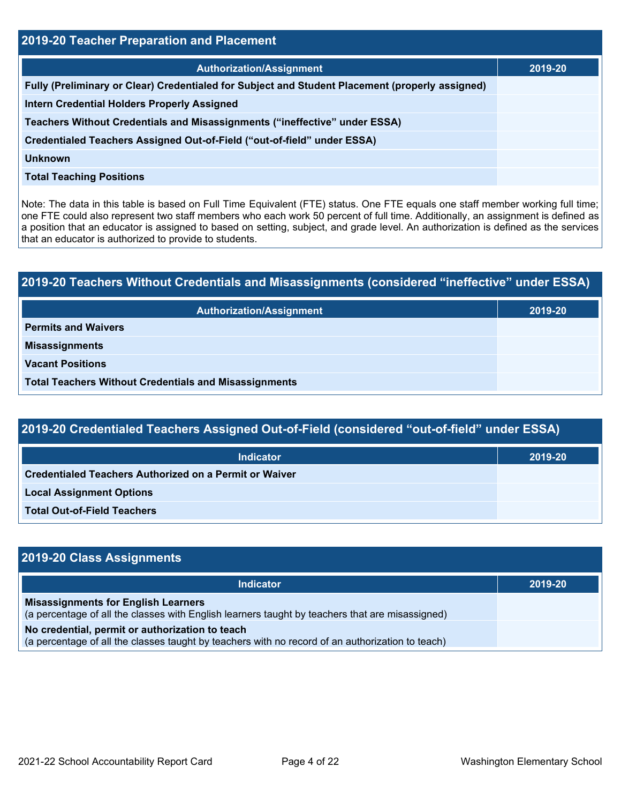| 2019-20 Teacher Preparation and Placement                                                       |         |  |  |  |
|-------------------------------------------------------------------------------------------------|---------|--|--|--|
| <b>Authorization/Assignment</b>                                                                 | 2019-20 |  |  |  |
| Fully (Preliminary or Clear) Credentialed for Subject and Student Placement (properly assigned) |         |  |  |  |
| <b>Intern Credential Holders Properly Assigned</b>                                              |         |  |  |  |
| Teachers Without Credentials and Misassignments ("ineffective" under ESSA)                      |         |  |  |  |
| Credentialed Teachers Assigned Out-of-Field ("out-of-field" under ESSA)                         |         |  |  |  |
| <b>Unknown</b>                                                                                  |         |  |  |  |
| <b>Total Teaching Positions</b>                                                                 |         |  |  |  |

Note: The data in this table is based on Full Time Equivalent (FTE) status. One FTE equals one staff member working full time; one FTE could also represent two staff members who each work 50 percent of full time. Additionally, an assignment is defined as a position that an educator is assigned to based on setting, subject, and grade level. An authorization is defined as the services that an educator is authorized to provide to students.

# **2019-20 Teachers Without Credentials and Misassignments (considered "ineffective" under ESSA) Authorization/Assignment 2019-20 Permits and Waivers Misassignments Vacant Positions Total Teachers Without Credentials and Misassignments**

| 2019-20 Credentialed Teachers Assigned Out-of-Field (considered "out-of-field" under ESSA) |         |  |  |  |
|--------------------------------------------------------------------------------------------|---------|--|--|--|
| Indicator                                                                                  | 2019-20 |  |  |  |
| <b>Credentialed Teachers Authorized on a Permit or Waiver</b>                              |         |  |  |  |
| <b>Local Assignment Options</b>                                                            |         |  |  |  |

**Total Out-of-Field Teachers**

| 2019-20 Class Assignments                                                                                                                           |         |
|-----------------------------------------------------------------------------------------------------------------------------------------------------|---------|
| Indicator                                                                                                                                           | 2019-20 |
| <b>Misassignments for English Learners</b><br>(a percentage of all the classes with English learners taught by teachers that are misassigned)       |         |
| No credential, permit or authorization to teach<br>(a percentage of all the classes taught by teachers with no record of an authorization to teach) |         |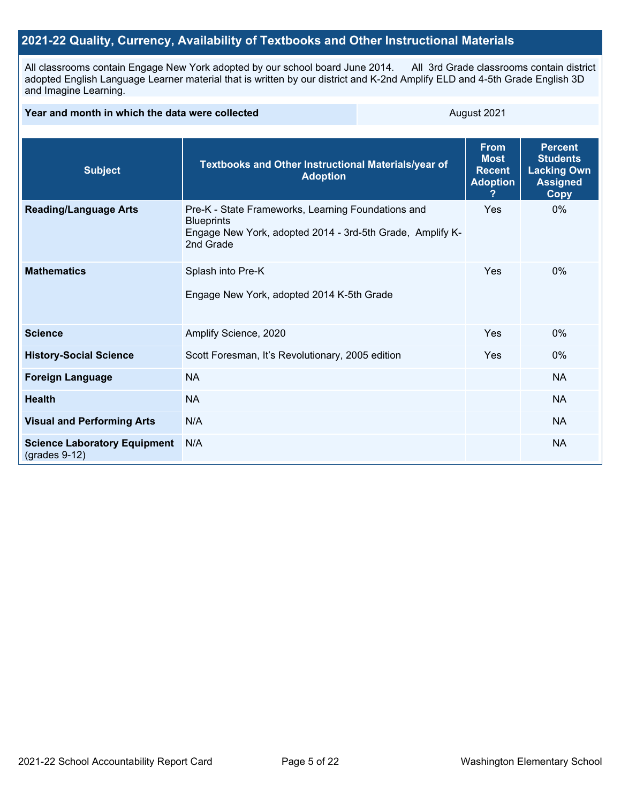### **2021-22 Quality, Currency, Availability of Textbooks and Other Instructional Materials**

All classrooms contain Engage New York adopted by our school board June 2014. All 3rd Grade classrooms contain district adopted English Language Learner material that is written by our district and K-2nd Amplify ELD and 4-5th Grade English 3D and Imagine Learning.

| Year and month in which the data were collected        | August 2021                                                                                                                                       |                                                                |                                                                                           |           |
|--------------------------------------------------------|---------------------------------------------------------------------------------------------------------------------------------------------------|----------------------------------------------------------------|-------------------------------------------------------------------------------------------|-----------|
| <b>Subject</b>                                         | Textbooks and Other Instructional Materials/year of<br><b>Adoption</b>                                                                            | <b>From</b><br><b>Most</b><br><b>Recent</b><br><b>Adoption</b> | <b>Percent</b><br><b>Students</b><br><b>Lacking Own</b><br><b>Assigned</b><br><b>Copy</b> |           |
| <b>Reading/Language Arts</b>                           | Pre-K - State Frameworks, Learning Foundations and<br><b>Blueprints</b><br>Engage New York, adopted 2014 - 3rd-5th Grade, Amplify K-<br>2nd Grade |                                                                | Yes                                                                                       | 0%        |
| <b>Mathematics</b>                                     | Splash into Pre-K<br>Engage New York, adopted 2014 K-5th Grade                                                                                    | Yes                                                            | $0\%$                                                                                     |           |
| <b>Science</b>                                         | Amplify Science, 2020                                                                                                                             |                                                                | Yes                                                                                       | $0\%$     |
| <b>History-Social Science</b>                          | Scott Foresman, It's Revolutionary, 2005 edition                                                                                                  |                                                                | Yes                                                                                       | $0\%$     |
| <b>Foreign Language</b>                                | <b>NA</b>                                                                                                                                         |                                                                |                                                                                           | <b>NA</b> |
| <b>Health</b>                                          | <b>NA</b>                                                                                                                                         |                                                                |                                                                                           | <b>NA</b> |
| <b>Visual and Performing Arts</b>                      | N/A                                                                                                                                               |                                                                |                                                                                           | <b>NA</b> |
| <b>Science Laboratory Equipment</b><br>$(grades 9-12)$ | N/A                                                                                                                                               |                                                                |                                                                                           | <b>NA</b> |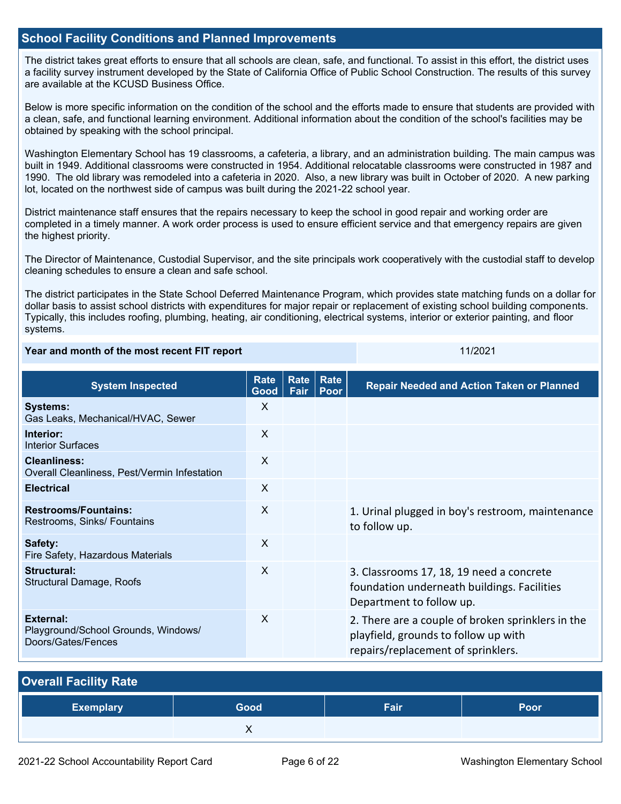### **School Facility Conditions and Planned Improvements**

The district takes great efforts to ensure that all schools are clean, safe, and functional. To assist in this effort, the district uses a facility survey instrument developed by the State of California Office of Public School Construction. The results of this survey are available at the KCUSD Business Office.

Below is more specific information on the condition of the school and the efforts made to ensure that students are provided with a clean, safe, and functional learning environment. Additional information about the condition of the school's facilities may be obtained by speaking with the school principal.

Washington Elementary School has 19 classrooms, a cafeteria, a library, and an administration building. The main campus was built in 1949. Additional classrooms were constructed in 1954. Additional relocatable classrooms were constructed in 1987 and 1990. The old library was remodeled into a cafeteria in 2020. Also, a new library was built in October of 2020. A new parking lot, located on the northwest side of campus was built during the 2021-22 school year.

District maintenance staff ensures that the repairs necessary to keep the school in good repair and working order are completed in a timely manner. A work order process is used to ensure efficient service and that emergency repairs are given the highest priority.

The Director of Maintenance, Custodial Supervisor, and the site principals work cooperatively with the custodial staff to develop cleaning schedules to ensure a clean and safe school.

The district participates in the State School Deferred Maintenance Program, which provides state matching funds on a dollar for dollar basis to assist school districts with expenditures for major repair or replacement of existing school building components. Typically, this includes roofing, plumbing, heating, air conditioning, electrical systems, interior or exterior painting, and floor systems.

### **Year and month of the most recent FIT report** 11/2021 11/2021

| <b>System Inspected</b>                                                | Rate<br>Good | <b>Rate</b><br>Fair | Rate<br>Poor | <b>Repair Needed and Action Taken or Planned</b>                                                                                |
|------------------------------------------------------------------------|--------------|---------------------|--------------|---------------------------------------------------------------------------------------------------------------------------------|
| <b>Systems:</b><br>Gas Leaks, Mechanical/HVAC, Sewer                   | X            |                     |              |                                                                                                                                 |
| Interior:<br><b>Interior Surfaces</b>                                  | X            |                     |              |                                                                                                                                 |
| <b>Cleanliness:</b><br>Overall Cleanliness, Pest/Vermin Infestation    | X            |                     |              |                                                                                                                                 |
| <b>Electrical</b>                                                      | X            |                     |              |                                                                                                                                 |
| <b>Restrooms/Fountains:</b><br>Restrooms, Sinks/ Fountains             | X            |                     |              | 1. Urinal plugged in boy's restroom, maintenance<br>to follow up.                                                               |
| Safety:<br>Fire Safety, Hazardous Materials                            | X            |                     |              |                                                                                                                                 |
| <b>Structural:</b><br><b>Structural Damage, Roofs</b>                  | X            |                     |              | 3. Classrooms 17, 18, 19 need a concrete<br>foundation underneath buildings. Facilities<br>Department to follow up.             |
| External:<br>Playground/School Grounds, Windows/<br>Doors/Gates/Fences | X            |                     |              | 2. There are a couple of broken sprinklers in the<br>playfield, grounds to follow up with<br>repairs/replacement of sprinklers. |

| <b>Overall Facility Rate</b> |      |      |      |
|------------------------------|------|------|------|
| <b>Exemplary</b>             | Good | Fair | Poor |
|                              |      |      |      |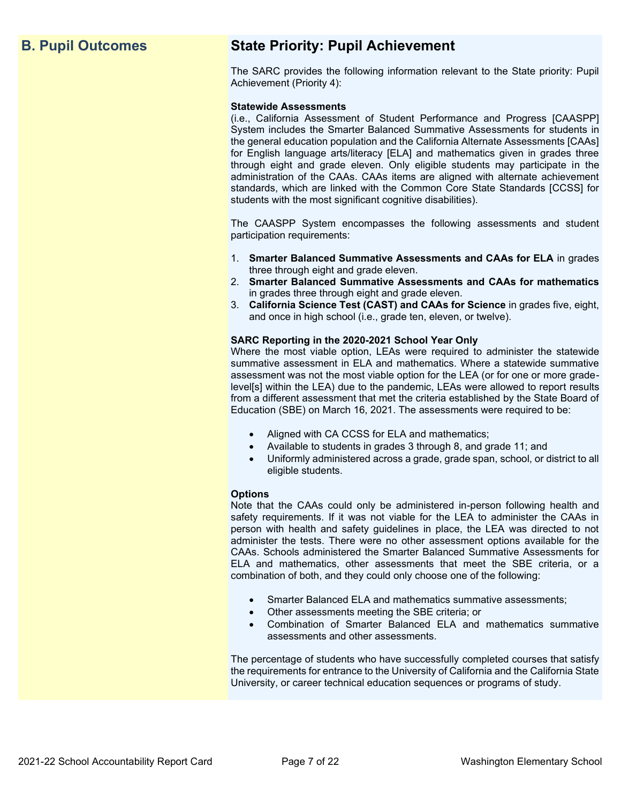# **B. Pupil Outcomes State Priority: Pupil Achievement**

The SARC provides the following information relevant to the State priority: Pupil Achievement (Priority 4):

### **Statewide Assessments**

(i.e., California Assessment of Student Performance and Progress [CAASPP] System includes the Smarter Balanced Summative Assessments for students in the general education population and the California Alternate Assessments [CAAs] for English language arts/literacy [ELA] and mathematics given in grades three through eight and grade eleven. Only eligible students may participate in the administration of the CAAs. CAAs items are aligned with alternate achievement standards, which are linked with the Common Core State Standards [CCSS] for students with the most significant cognitive disabilities).

The CAASPP System encompasses the following assessments and student participation requirements:

- 1. **Smarter Balanced Summative Assessments and CAAs for ELA** in grades three through eight and grade eleven.
- 2. **Smarter Balanced Summative Assessments and CAAs for mathematics** in grades three through eight and grade eleven.
- 3. **California Science Test (CAST) and CAAs for Science** in grades five, eight, and once in high school (i.e., grade ten, eleven, or twelve).

### **SARC Reporting in the 2020-2021 School Year Only**

Where the most viable option, LEAs were required to administer the statewide summative assessment in ELA and mathematics. Where a statewide summative assessment was not the most viable option for the LEA (or for one or more gradelevel[s] within the LEA) due to the pandemic, LEAs were allowed to report results from a different assessment that met the criteria established by the State Board of Education (SBE) on March 16, 2021. The assessments were required to be:

- Aligned with CA CCSS for ELA and mathematics;
- Available to students in grades 3 through 8, and grade 11; and
- Uniformly administered across a grade, grade span, school, or district to all eligible students.

### **Options**

Note that the CAAs could only be administered in-person following health and safety requirements. If it was not viable for the LEA to administer the CAAs in person with health and safety guidelines in place, the LEA was directed to not administer the tests. There were no other assessment options available for the CAAs. Schools administered the Smarter Balanced Summative Assessments for ELA and mathematics, other assessments that meet the SBE criteria, or a combination of both, and they could only choose one of the following:

- Smarter Balanced ELA and mathematics summative assessments;
- Other assessments meeting the SBE criteria; or
- Combination of Smarter Balanced ELA and mathematics summative assessments and other assessments.

The percentage of students who have successfully completed courses that satisfy the requirements for entrance to the University of California and the California State University, or career technical education sequences or programs of study.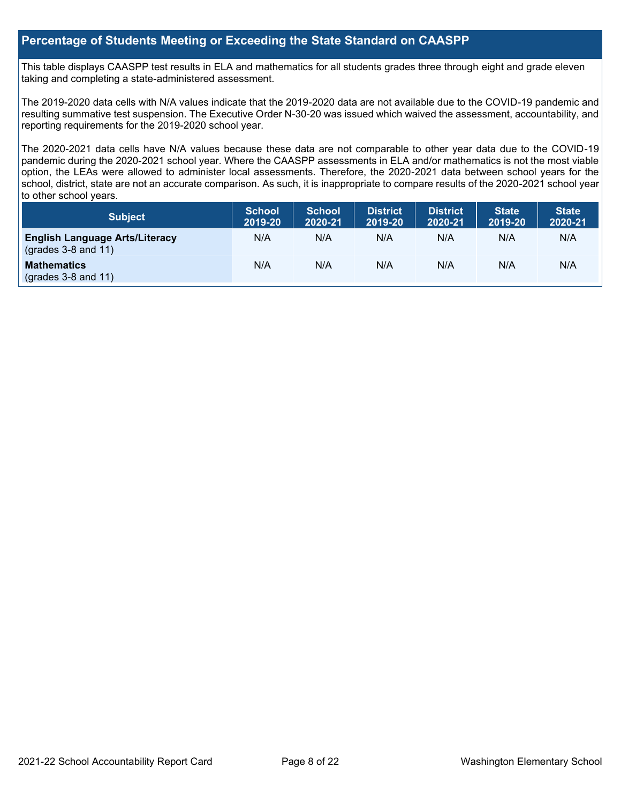### **Percentage of Students Meeting or Exceeding the State Standard on CAASPP**

This table displays CAASPP test results in ELA and mathematics for all students grades three through eight and grade eleven taking and completing a state-administered assessment.

The 2019-2020 data cells with N/A values indicate that the 2019-2020 data are not available due to the COVID-19 pandemic and resulting summative test suspension. The Executive Order N-30-20 was issued which waived the assessment, accountability, and reporting requirements for the 2019-2020 school year.

The 2020-2021 data cells have N/A values because these data are not comparable to other year data due to the COVID-19 pandemic during the 2020-2021 school year. Where the CAASPP assessments in ELA and/or mathematics is not the most viable option, the LEAs were allowed to administer local assessments. Therefore, the 2020-2021 data between school years for the school, district, state are not an accurate comparison. As such, it is inappropriate to compare results of the 2020-2021 school year to other school years.

| Subject                                                        | <b>School</b><br>2019-20 | <b>School</b><br>2020-21 | <b>District</b><br>2019-20 | <b>District</b><br>2020-21 | <b>State</b><br>2019-20 | <b>State</b><br>2020-21 |
|----------------------------------------------------------------|--------------------------|--------------------------|----------------------------|----------------------------|-------------------------|-------------------------|
| <b>English Language Arts/Literacy</b><br>$(grades 3-8 and 11)$ | N/A                      | N/A                      | N/A                        | N/A                        | N/A                     | N/A                     |
| <b>Mathematics</b><br>$(grades 3-8 and 11)$                    | N/A                      | N/A                      | N/A                        | N/A                        | N/A                     | N/A                     |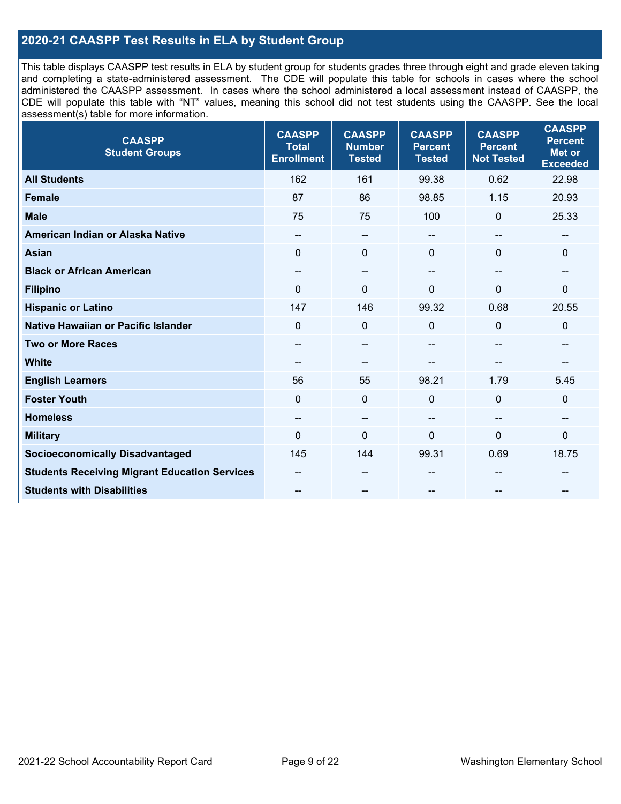### **2020-21 CAASPP Test Results in ELA by Student Group**

This table displays CAASPP test results in ELA by student group for students grades three through eight and grade eleven taking and completing a state-administered assessment. The CDE will populate this table for schools in cases where the school administered the CAASPP assessment. In cases where the school administered a local assessment instead of CAASPP, the CDE will populate this table with "NT" values, meaning this school did not test students using the CAASPP. See the local assessment(s) table for more information.

| <b>CAASPP</b><br><b>Student Groups</b>               | <b>CAASPP</b><br><b>Total</b><br><b>Enrollment</b> | <b>CAASPP</b><br><b>Number</b><br><b>Tested</b> | <b>CAASPP</b><br><b>Percent</b><br><b>Tested</b> | <b>CAASPP</b><br><b>Percent</b><br><b>Not Tested</b> | <b>CAASPP</b><br><b>Percent</b><br><b>Met or</b><br><b>Exceeded</b> |
|------------------------------------------------------|----------------------------------------------------|-------------------------------------------------|--------------------------------------------------|------------------------------------------------------|---------------------------------------------------------------------|
| <b>All Students</b>                                  | 162                                                | 161                                             | 99.38                                            | 0.62                                                 | 22.98                                                               |
| <b>Female</b>                                        | 87                                                 | 86                                              | 98.85                                            | 1.15                                                 | 20.93                                                               |
| <b>Male</b>                                          | 75                                                 | 75                                              | 100                                              | $\mathbf{0}$                                         | 25.33                                                               |
| American Indian or Alaska Native                     | $\qquad \qquad -$                                  | $\overline{\phantom{a}}$                        | --                                               | $\sim$                                               | --                                                                  |
| <b>Asian</b>                                         | $\Omega$                                           | $\mathbf 0$                                     | $\mathbf{0}$                                     | $\Omega$                                             | $\mathbf 0$                                                         |
| <b>Black or African American</b>                     | $\overline{\phantom{a}}$                           | $\overline{\phantom{a}}$                        | --                                               | $-$                                                  | --                                                                  |
| <b>Filipino</b>                                      | $\Omega$                                           | $\mathbf{0}$                                    | $\mathbf{0}$                                     | $\Omega$                                             | $\mathbf{0}$                                                        |
| <b>Hispanic or Latino</b>                            | 147                                                | 146                                             | 99.32                                            | 0.68                                                 | 20.55                                                               |
| <b>Native Hawaiian or Pacific Islander</b>           | $\mathbf 0$                                        | $\mathbf 0$                                     | 0                                                | $\mathbf 0$                                          | $\mathbf 0$                                                         |
| <b>Two or More Races</b>                             | --                                                 | --                                              | --                                               | --                                                   | --                                                                  |
| <b>White</b>                                         | $\qquad \qquad -$                                  | $\sim$                                          | --                                               |                                                      | --                                                                  |
| <b>English Learners</b>                              | 56                                                 | 55                                              | 98.21                                            | 1.79                                                 | 5.45                                                                |
| <b>Foster Youth</b>                                  | $\mathbf 0$                                        | $\mathbf 0$                                     | $\mathbf{0}$                                     | $\mathbf 0$                                          | $\mathbf 0$                                                         |
| <b>Homeless</b>                                      | --                                                 | $\overline{\phantom{m}}$                        | --                                               | $-$                                                  | --                                                                  |
| <b>Military</b>                                      | $\Omega$                                           | $\mathbf 0$                                     | $\Omega$                                         | 0                                                    | 0                                                                   |
| <b>Socioeconomically Disadvantaged</b>               | 145                                                | 144                                             | 99.31                                            | 0.69                                                 | 18.75                                                               |
| <b>Students Receiving Migrant Education Services</b> |                                                    | --                                              | --                                               |                                                      |                                                                     |
| <b>Students with Disabilities</b>                    | $\qquad \qquad -$                                  | --                                              | --                                               |                                                      | --                                                                  |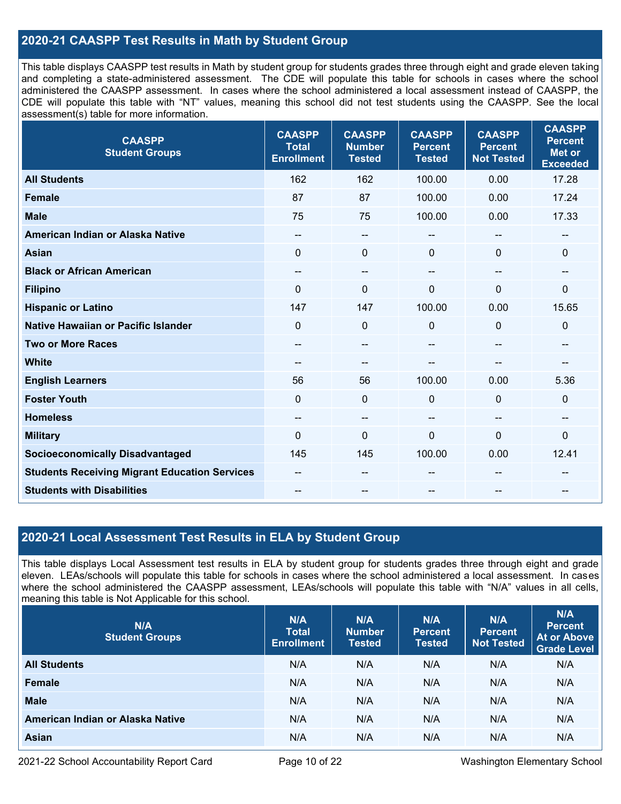### **2020-21 CAASPP Test Results in Math by Student Group**

This table displays CAASPP test results in Math by student group for students grades three through eight and grade eleven taking and completing a state-administered assessment. The CDE will populate this table for schools in cases where the school administered the CAASPP assessment. In cases where the school administered a local assessment instead of CAASPP, the CDE will populate this table with "NT" values, meaning this school did not test students using the CAASPP. See the local assessment(s) table for more information.

| <b>CAASPP</b><br><b>Student Groups</b>               | <b>CAASPP</b><br><b>Total</b><br><b>Enrollment</b> | <b>CAASPP</b><br><b>Number</b><br><b>Tested</b> | <b>CAASPP</b><br><b>Percent</b><br><b>Tested</b> | <b>CAASPP</b><br><b>Percent</b><br><b>Not Tested</b> | <b>CAASPP</b><br><b>Percent</b><br><b>Met or</b><br><b>Exceeded</b> |
|------------------------------------------------------|----------------------------------------------------|-------------------------------------------------|--------------------------------------------------|------------------------------------------------------|---------------------------------------------------------------------|
| <b>All Students</b>                                  | 162                                                | 162                                             | 100.00                                           | 0.00                                                 | 17.28                                                               |
| <b>Female</b>                                        | 87                                                 | 87                                              | 100.00                                           | 0.00                                                 | 17.24                                                               |
| <b>Male</b>                                          | 75                                                 | 75                                              | 100.00                                           | 0.00                                                 | 17.33                                                               |
| American Indian or Alaska Native                     | $\qquad \qquad -$                                  | --                                              | --                                               | --                                                   | $\overline{\phantom{a}}$                                            |
| <b>Asian</b>                                         | $\Omega$                                           | 0                                               | $\mathbf{0}$                                     | 0                                                    | $\mathbf 0$                                                         |
| <b>Black or African American</b>                     | $-$                                                | $\qquad \qquad -$                               | $\sim$ $\sim$                                    | $\overline{\phantom{a}}$                             | $\hspace{0.05cm}$                                                   |
| <b>Filipino</b>                                      | $\Omega$                                           | 0                                               | $\mathbf 0$                                      | $\Omega$                                             | $\mathbf 0$                                                         |
| <b>Hispanic or Latino</b>                            | 147                                                | 147                                             | 100.00                                           | 0.00                                                 | 15.65                                                               |
| Native Hawaiian or Pacific Islander                  | $\mathbf 0$                                        | $\mathbf 0$                                     | $\mathbf 0$                                      | 0                                                    | $\mathbf 0$                                                         |
| <b>Two or More Races</b>                             | --                                                 | --                                              |                                                  | --                                                   | --                                                                  |
| <b>White</b>                                         | --                                                 | --                                              | --                                               | --                                                   |                                                                     |
| <b>English Learners</b>                              | 56                                                 | 56                                              | 100.00                                           | 0.00                                                 | 5.36                                                                |
| <b>Foster Youth</b>                                  | $\Omega$                                           | 0                                               | $\mathbf 0$                                      | $\Omega$                                             | $\mathbf 0$                                                         |
| <b>Homeless</b>                                      | $\overline{\phantom{a}}$                           | --                                              | $\overline{\phantom{a}}$                         | --                                                   | $\overline{\phantom{m}}$                                            |
| <b>Military</b>                                      | $\Omega$                                           | 0                                               | $\mathbf 0$                                      | $\mathbf{0}$                                         | 0                                                                   |
| <b>Socioeconomically Disadvantaged</b>               | 145                                                | 145                                             | 100.00                                           | 0.00                                                 | 12.41                                                               |
| <b>Students Receiving Migrant Education Services</b> |                                                    | --                                              |                                                  |                                                      |                                                                     |
| <b>Students with Disabilities</b>                    |                                                    | --                                              | --                                               |                                                      |                                                                     |

### **2020-21 Local Assessment Test Results in ELA by Student Group**

This table displays Local Assessment test results in ELA by student group for students grades three through eight and grade eleven. LEAs/schools will populate this table for schools in cases where the school administered a local assessment. In cases where the school administered the CAASPP assessment, LEAs/schools will populate this table with "N/A" values in all cells, meaning this table is Not Applicable for this school.

| N/A<br><b>Student Groups</b>     | N/A<br><b>Total</b><br><b>Enrollment</b> | N/A<br><b>Number</b><br><b>Tested</b> | N/A<br><b>Percent</b><br><b>Tested</b> | N/A<br>Percent<br><b>Not Tested</b> | N/A<br><b>Percent</b><br><b>At or Above</b><br><b>Grade Level</b> |
|----------------------------------|------------------------------------------|---------------------------------------|----------------------------------------|-------------------------------------|-------------------------------------------------------------------|
| <b>All Students</b>              | N/A                                      | N/A                                   | N/A                                    | N/A                                 | N/A                                                               |
| Female                           | N/A                                      | N/A                                   | N/A                                    | N/A                                 | N/A                                                               |
| <b>Male</b>                      | N/A                                      | N/A                                   | N/A                                    | N/A                                 | N/A                                                               |
| American Indian or Alaska Native | N/A                                      | N/A                                   | N/A                                    | N/A                                 | N/A                                                               |
| <b>Asian</b>                     | N/A                                      | N/A                                   | N/A                                    | N/A                                 | N/A                                                               |

2021-22 School Accountability Report Card Page 10 of 22 Washington Elementary School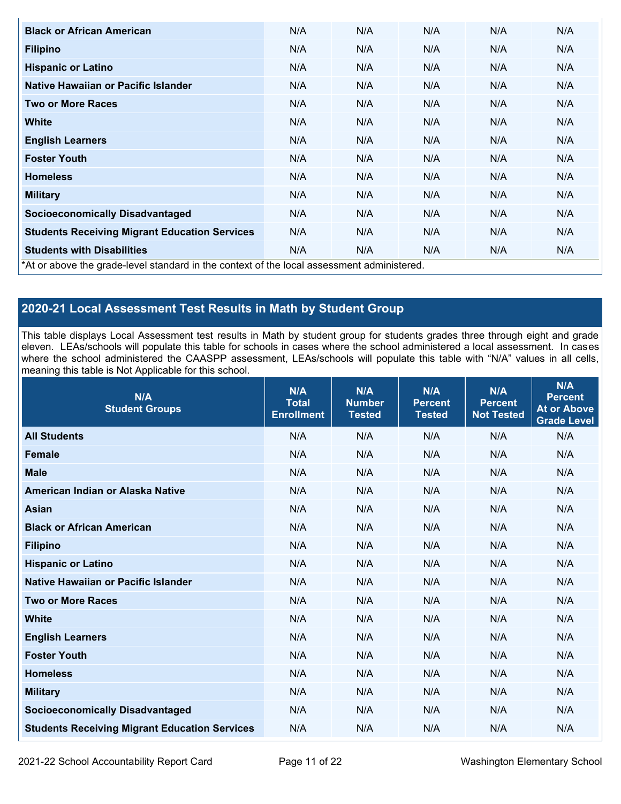| <b>Black or African American</b>                                                          | N/A | N/A | N/A | N/A | N/A |
|-------------------------------------------------------------------------------------------|-----|-----|-----|-----|-----|
| <b>Filipino</b>                                                                           | N/A | N/A | N/A | N/A | N/A |
| <b>Hispanic or Latino</b>                                                                 | N/A | N/A | N/A | N/A | N/A |
| Native Hawaiian or Pacific Islander                                                       | N/A | N/A | N/A | N/A | N/A |
| <b>Two or More Races</b>                                                                  | N/A | N/A | N/A | N/A | N/A |
| White                                                                                     | N/A | N/A | N/A | N/A | N/A |
| <b>English Learners</b>                                                                   | N/A | N/A | N/A | N/A | N/A |
| <b>Foster Youth</b>                                                                       | N/A | N/A | N/A | N/A | N/A |
| <b>Homeless</b>                                                                           | N/A | N/A | N/A | N/A | N/A |
| <b>Military</b>                                                                           | N/A | N/A | N/A | N/A | N/A |
| <b>Socioeconomically Disadvantaged</b>                                                    | N/A | N/A | N/A | N/A | N/A |
| <b>Students Receiving Migrant Education Services</b>                                      | N/A | N/A | N/A | N/A | N/A |
| <b>Students with Disabilities</b>                                                         | N/A | N/A | N/A | N/A | N/A |
| *At or above the grade-level standard in the context of the local assessment administered |     |     |     |     |     |

\*At or above the grade-level standard in the context of the local assessment administered.

## **2020-21 Local Assessment Test Results in Math by Student Group**

This table displays Local Assessment test results in Math by student group for students grades three through eight and grade eleven. LEAs/schools will populate this table for schools in cases where the school administered a local assessment. In cases where the school administered the CAASPP assessment, LEAs/schools will populate this table with "N/A" values in all cells, meaning this table is Not Applicable for this school.

| N/A<br><b>Student Groups</b>                         | N/A<br><b>Total</b><br><b>Enrollment</b> | N/A<br><b>Number</b><br><b>Tested</b> | N/A<br><b>Percent</b><br><b>Tested</b> | N/A<br><b>Percent</b><br><b>Not Tested</b> | N/A<br><b>Percent</b><br><b>At or Above</b><br><b>Grade Level</b> |
|------------------------------------------------------|------------------------------------------|---------------------------------------|----------------------------------------|--------------------------------------------|-------------------------------------------------------------------|
| <b>All Students</b>                                  | N/A                                      | N/A                                   | N/A                                    | N/A                                        | N/A                                                               |
| <b>Female</b>                                        | N/A                                      | N/A                                   | N/A                                    | N/A                                        | N/A                                                               |
| <b>Male</b>                                          | N/A                                      | N/A                                   | N/A                                    | N/A                                        | N/A                                                               |
| American Indian or Alaska Native                     | N/A                                      | N/A                                   | N/A                                    | N/A                                        | N/A                                                               |
| <b>Asian</b>                                         | N/A                                      | N/A                                   | N/A                                    | N/A                                        | N/A                                                               |
| <b>Black or African American</b>                     | N/A                                      | N/A                                   | N/A                                    | N/A                                        | N/A                                                               |
| <b>Filipino</b>                                      | N/A                                      | N/A                                   | N/A                                    | N/A                                        | N/A                                                               |
| <b>Hispanic or Latino</b>                            | N/A                                      | N/A                                   | N/A                                    | N/A                                        | N/A                                                               |
| Native Hawaiian or Pacific Islander                  | N/A                                      | N/A                                   | N/A                                    | N/A                                        | N/A                                                               |
| <b>Two or More Races</b>                             | N/A                                      | N/A                                   | N/A                                    | N/A                                        | N/A                                                               |
| <b>White</b>                                         | N/A                                      | N/A                                   | N/A                                    | N/A                                        | N/A                                                               |
| <b>English Learners</b>                              | N/A                                      | N/A                                   | N/A                                    | N/A                                        | N/A                                                               |
| <b>Foster Youth</b>                                  | N/A                                      | N/A                                   | N/A                                    | N/A                                        | N/A                                                               |
| <b>Homeless</b>                                      | N/A                                      | N/A                                   | N/A                                    | N/A                                        | N/A                                                               |
| <b>Military</b>                                      | N/A                                      | N/A                                   | N/A                                    | N/A                                        | N/A                                                               |
| <b>Socioeconomically Disadvantaged</b>               | N/A                                      | N/A                                   | N/A                                    | N/A                                        | N/A                                                               |
| <b>Students Receiving Migrant Education Services</b> | N/A                                      | N/A                                   | N/A                                    | N/A                                        | N/A                                                               |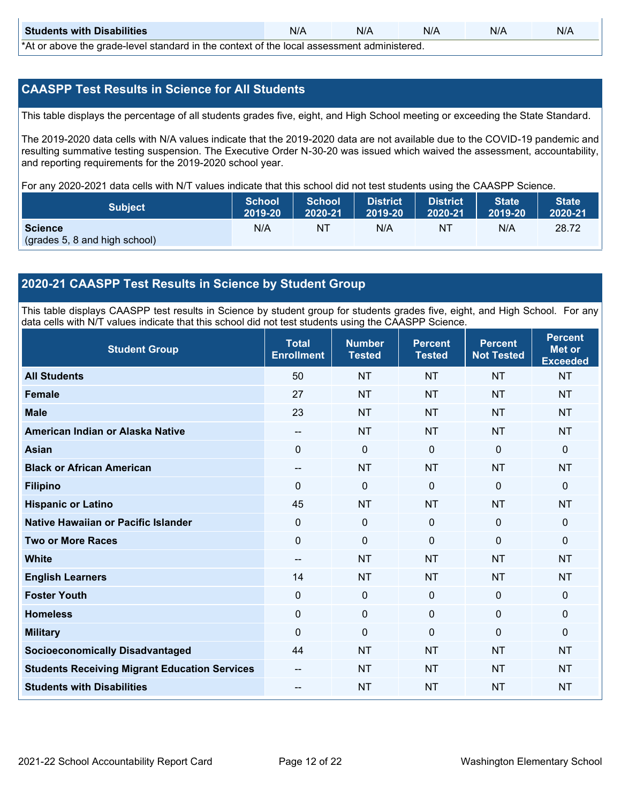| <b>Students with Disabilities</b>                                                           | N/A | N/A | N/A | N/A | N/A |  |  |
|---------------------------------------------------------------------------------------------|-----|-----|-----|-----|-----|--|--|
| *At as above the escale level standard in the context of the local accordinate admissioned. |     |     |     |     |     |  |  |

\*At or above the grade-level standard in the context of the local assessment administered.

### **CAASPP Test Results in Science for All Students**

This table displays the percentage of all students grades five, eight, and High School meeting or exceeding the State Standard.

The 2019-2020 data cells with N/A values indicate that the 2019-2020 data are not available due to the COVID-19 pandemic and resulting summative testing suspension. The Executive Order N-30-20 was issued which waived the assessment, accountability, and reporting requirements for the 2019-2020 school year.

For any 2020-2021 data cells with N/T values indicate that this school did not test students using the CAASPP Science.

| <b>Subject</b>                | <b>School</b><br>2019-20 | <b>School</b><br>2020-21 | <b>District</b><br>12019-20 | District<br>2020-21 | <b>State</b><br>2019-20 | <b>State</b><br>2020-21 |
|-------------------------------|--------------------------|--------------------------|-----------------------------|---------------------|-------------------------|-------------------------|
| <b>Science</b>                | N/A                      | ΝT                       | N/A                         | NT                  | N/A                     | 28.72                   |
| (grades 5, 8 and high school) |                          |                          |                             |                     |                         |                         |

### **2020-21 CAASPP Test Results in Science by Student Group**

This table displays CAASPP test results in Science by student group for students grades five, eight, and High School. For any data cells with N/T values indicate that this school did not test students using the CAASPP Science.

| <b>Student Group</b>                                 | <b>Total</b><br><b>Enrollment</b>     | <b>Number</b><br><b>Tested</b> | <b>Percent</b><br><b>Tested</b> | <b>Percent</b><br><b>Not Tested</b> | <b>Percent</b><br><b>Met or</b><br><b>Exceeded</b> |
|------------------------------------------------------|---------------------------------------|--------------------------------|---------------------------------|-------------------------------------|----------------------------------------------------|
| <b>All Students</b>                                  | 50                                    | <b>NT</b>                      | <b>NT</b>                       | <b>NT</b>                           | <b>NT</b>                                          |
| <b>Female</b>                                        | 27                                    | <b>NT</b>                      | <b>NT</b>                       | <b>NT</b>                           | <b>NT</b>                                          |
| <b>Male</b>                                          | 23                                    | <b>NT</b>                      | <b>NT</b>                       | <b>NT</b>                           | <b>NT</b>                                          |
| American Indian or Alaska Native                     | $\overline{\phantom{a}}$              | <b>NT</b>                      | <b>NT</b>                       | <b>NT</b>                           | <b>NT</b>                                          |
| <b>Asian</b>                                         | $\mathbf 0$                           | $\mathbf 0$                    | $\mathbf 0$                     | $\mathbf 0$                         | $\mathbf{0}$                                       |
| <b>Black or African American</b>                     | --                                    | <b>NT</b>                      | <b>NT</b>                       | <b>NT</b>                           | <b>NT</b>                                          |
| <b>Filipino</b>                                      | $\Omega$                              | $\mathbf 0$                    | $\mathbf{0}$                    | $\mathbf{0}$                        | $\mathbf 0$                                        |
| <b>Hispanic or Latino</b>                            | 45                                    | <b>NT</b>                      | <b>NT</b>                       | <b>NT</b>                           | <b>NT</b>                                          |
| Native Hawaiian or Pacific Islander                  | $\mathbf 0$                           | $\mathbf 0$                    | $\mathbf{0}$                    | $\mathbf 0$                         | $\mathbf{0}$                                       |
| <b>Two or More Races</b>                             | $\Omega$                              | $\mathbf 0$                    | $\Omega$                        | $\mathbf{0}$                        | $\mathbf 0$                                        |
| <b>White</b>                                         | $\hspace{0.05cm}$ – $\hspace{0.05cm}$ | <b>NT</b>                      | <b>NT</b>                       | <b>NT</b>                           | <b>NT</b>                                          |
| <b>English Learners</b>                              | 14                                    | <b>NT</b>                      | <b>NT</b>                       | <b>NT</b>                           | <b>NT</b>                                          |
| <b>Foster Youth</b>                                  | $\mathbf 0$                           | $\mathbf 0$                    | $\mathbf 0$                     | $\mathbf 0$                         | $\mathbf{0}$                                       |
| <b>Homeless</b>                                      | 0                                     | $\mathbf{0}$                   | $\mathbf 0$                     | $\mathbf 0$                         | $\mathbf 0$                                        |
| <b>Military</b>                                      | $\Omega$                              | $\mathbf 0$                    | $\mathbf{0}$                    | $\mathbf{0}$                        | $\mathbf{0}$                                       |
| <b>Socioeconomically Disadvantaged</b>               | 44                                    | <b>NT</b>                      | <b>NT</b>                       | <b>NT</b>                           | <b>NT</b>                                          |
| <b>Students Receiving Migrant Education Services</b> | --                                    | <b>NT</b>                      | <b>NT</b>                       | <b>NT</b>                           | <b>NT</b>                                          |
| <b>Students with Disabilities</b>                    | $\qquad \qquad -$                     | <b>NT</b>                      | <b>NT</b>                       | <b>NT</b>                           | <b>NT</b>                                          |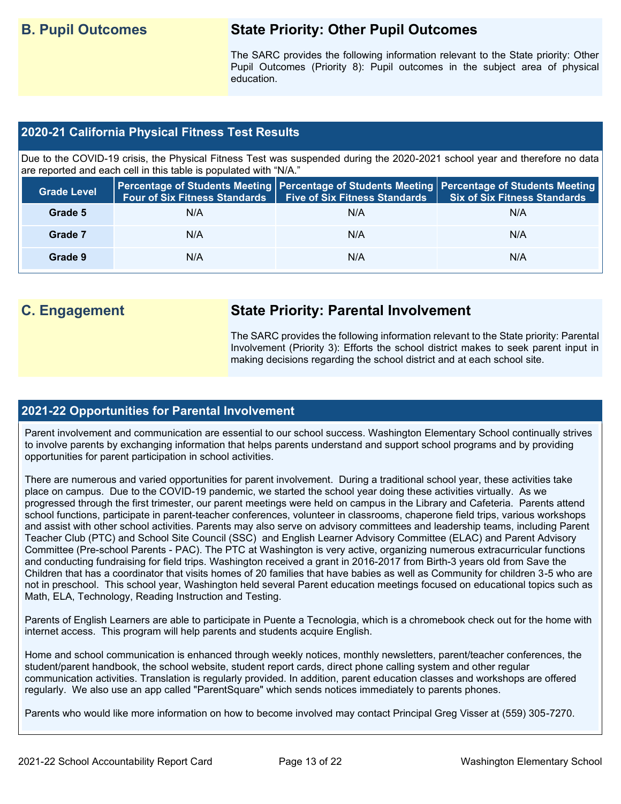# **B. Pupil Outcomes State Priority: Other Pupil Outcomes**

The SARC provides the following information relevant to the State priority: Other Pupil Outcomes (Priority 8): Pupil outcomes in the subject area of physical education.

### **2020-21 California Physical Fitness Test Results**

Due to the COVID-19 crisis, the Physical Fitness Test was suspended during the 2020-2021 school year and therefore no data are reported and each cell in this table is populated with "N/A."

| <b>Grade Level</b> | <b>Four of Six Fitness Standards</b> | <b>Five of Six Fitness Standards</b> | Percentage of Students Meeting   Percentage of Students Meeting   Percentage of Students Meeting<br><b>Six of Six Fitness Standards</b> |
|--------------------|--------------------------------------|--------------------------------------|-----------------------------------------------------------------------------------------------------------------------------------------|
| Grade 5            | N/A                                  | N/A                                  | N/A                                                                                                                                     |
| Grade 7            | N/A                                  | N/A                                  | N/A                                                                                                                                     |
| Grade 9            | N/A                                  | N/A                                  | N/A                                                                                                                                     |

# **C. Engagement State Priority: Parental Involvement**

The SARC provides the following information relevant to the State priority: Parental Involvement (Priority 3): Efforts the school district makes to seek parent input in making decisions regarding the school district and at each school site.

### **2021-22 Opportunities for Parental Involvement**

Parent involvement and communication are essential to our school success. Washington Elementary School continually strives to involve parents by exchanging information that helps parents understand and support school programs and by providing opportunities for parent participation in school activities.

There are numerous and varied opportunities for parent involvement. During a traditional school year, these activities take place on campus. Due to the COVID-19 pandemic, we started the school year doing these activities virtually. As we progressed through the first trimester, our parent meetings were held on campus in the Library and Cafeteria. Parents attend school functions, participate in parent-teacher conferences, volunteer in classrooms, chaperone field trips, various workshops and assist with other school activities. Parents may also serve on advisory committees and leadership teams, including Parent Teacher Club (PTC) and School Site Council (SSC) and English Learner Advisory Committee (ELAC) and Parent Advisory Committee (Pre-school Parents - PAC). The PTC at Washington is very active, organizing numerous extracurricular functions and conducting fundraising for field trips. Washington received a grant in 2016-2017 from Birth-3 years old from Save the Children that has a coordinator that visits homes of 20 families that have babies as well as Community for children 3-5 who are not in preschool. This school year, Washington held several Parent education meetings focused on educational topics such as Math, ELA, Technology, Reading Instruction and Testing.

Parents of English Learners are able to participate in Puente a Tecnologia, which is a chromebook check out for the home with internet access. This program will help parents and students acquire English.

Home and school communication is enhanced through weekly notices, monthly newsletters, parent/teacher conferences, the student/parent handbook, the school website, student report cards, direct phone calling system and other regular communication activities. Translation is regularly provided. In addition, parent education classes and workshops are offered regularly. We also use an app called "ParentSquare" which sends notices immediately to parents phones.

Parents who would like more information on how to become involved may contact Principal Greg Visser at (559) 305-7270.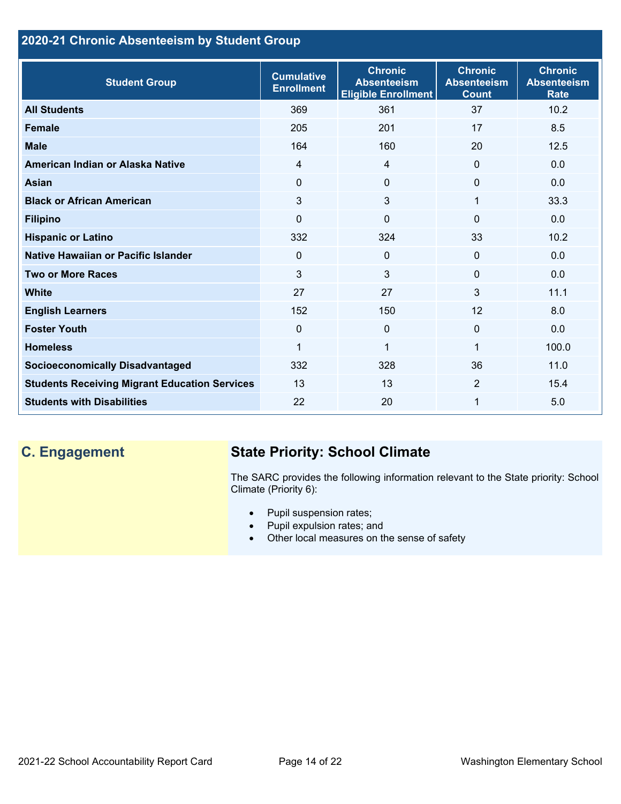### **2020-21 Chronic Absenteeism by Student Group**

| <b>Student Group</b>                                 | <b>Cumulative</b><br><b>Enrollment</b> | <b>Chronic</b><br><b>Absenteeism</b><br><b>Eligible Enrollment</b> | <b>Chronic</b><br><b>Absenteeism</b><br><b>Count</b> | <b>Chronic</b><br><b>Absenteeism</b><br><b>Rate</b> |
|------------------------------------------------------|----------------------------------------|--------------------------------------------------------------------|------------------------------------------------------|-----------------------------------------------------|
| <b>All Students</b>                                  | 369                                    | 361                                                                | 37                                                   | 10.2                                                |
| <b>Female</b>                                        | 205                                    | 201                                                                | 17                                                   | 8.5                                                 |
| <b>Male</b>                                          | 164                                    | 160                                                                | 20                                                   | 12.5                                                |
| American Indian or Alaska Native                     | $\overline{4}$                         | $\overline{4}$                                                     | $\mathbf{0}$                                         | 0.0                                                 |
| <b>Asian</b>                                         | 0                                      | $\Omega$                                                           | $\mathbf{0}$                                         | 0.0                                                 |
| <b>Black or African American</b>                     | 3                                      | 3                                                                  | 1                                                    | 33.3                                                |
| <b>Filipino</b>                                      | $\Omega$                               | $\mathbf 0$                                                        | $\mathbf{0}$                                         | 0.0                                                 |
| <b>Hispanic or Latino</b>                            | 332                                    | 324                                                                | 33                                                   | 10.2                                                |
| Native Hawaiian or Pacific Islander                  | 0                                      | 0                                                                  | $\mathbf 0$                                          | 0.0                                                 |
| <b>Two or More Races</b>                             | 3                                      | 3                                                                  | $\mathbf{0}$                                         | 0.0                                                 |
| <b>White</b>                                         | 27                                     | 27                                                                 | 3                                                    | 11.1                                                |
| <b>English Learners</b>                              | 152                                    | 150                                                                | 12                                                   | 8.0                                                 |
| <b>Foster Youth</b>                                  | $\Omega$                               | $\mathbf{0}$                                                       | $\Omega$                                             | 0.0                                                 |
| <b>Homeless</b>                                      | 1                                      | $\mathbf{1}$                                                       | 1                                                    | 100.0                                               |
| <b>Socioeconomically Disadvantaged</b>               | 332                                    | 328                                                                | 36                                                   | 11.0                                                |
| <b>Students Receiving Migrant Education Services</b> | 13                                     | 13                                                                 | 2                                                    | 15.4                                                |
| <b>Students with Disabilities</b>                    | 22                                     | 20                                                                 | 1                                                    | 5.0                                                 |

# **C. Engagement State Priority: School Climate**

The SARC provides the following information relevant to the State priority: School Climate (Priority 6):

- Pupil suspension rates;
- Pupil expulsion rates; and
- Other local measures on the sense of safety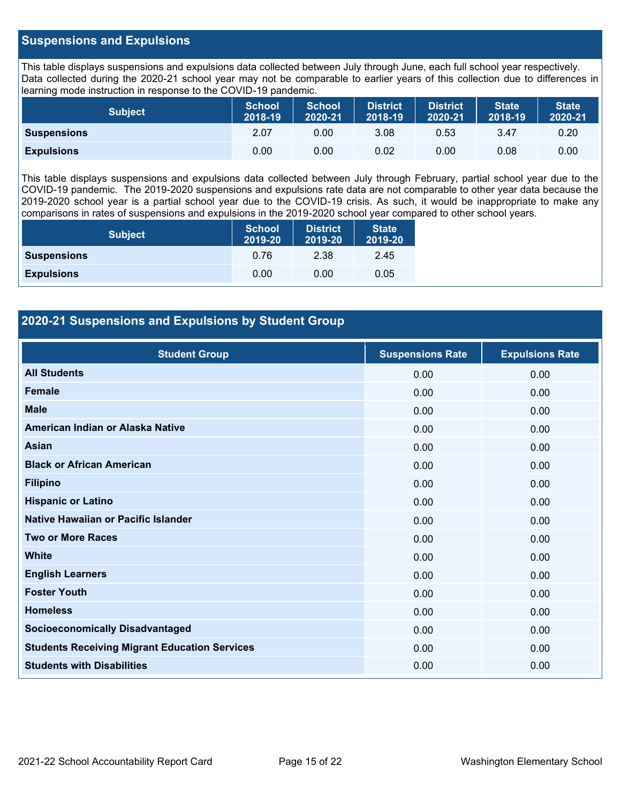### **Suspensions and Expulsions**

This table displays suspensions and expulsions data collected between July through June, each full school year respectively. Data collected during the 2020-21 school year may not be comparable to earlier years of this collection due to differences in learning mode instruction in response to the COVID-19 pandemic.

| <b>Subject</b>     | <b>School</b><br>2018-19 | <b>School</b><br>2020-21 | <b>District</b><br>2018-19 | <b>District</b><br>2020-21 | <b>State</b><br>2018-19 | <b>State</b><br>2020-21 |
|--------------------|--------------------------|--------------------------|----------------------------|----------------------------|-------------------------|-------------------------|
| <b>Suspensions</b> | 2.07                     | 0.00                     | 3.08                       | 0.53                       | 3.47                    | 0.20                    |
| <b>Expulsions</b>  | 0.00                     | 0.00                     | 0.02                       | 0.00                       | 0.08                    | 0.00                    |

This table displays suspensions and expulsions data collected between July through February, partial school year due to the COVID-19 pandemic. The 2019-2020 suspensions and expulsions rate data are not comparable to other year data because the 2019-2020 school year is a partial school year due to the COVID-19 crisis. As such, it would be inappropriate to make any comparisons in rates of suspensions and expulsions in the 2019-2020 school year compared to other school years.

| <b>Subject</b>     | <b>School</b><br>2019-20 | <b>District</b><br>2019-20 | <b>State</b><br>2019-20 |
|--------------------|--------------------------|----------------------------|-------------------------|
| <b>Suspensions</b> | 0.76                     | 2.38                       | 2.45                    |
| <b>Expulsions</b>  | 0.00                     | 0.00                       | 0.05                    |

### **2020-21 Suspensions and Expulsions by Student Group**

| <b>Student Group</b>                                 | <b>Suspensions Rate</b> | <b>Expulsions Rate</b> |
|------------------------------------------------------|-------------------------|------------------------|
| <b>All Students</b>                                  | 0.00                    | 0.00                   |
| <b>Female</b>                                        | 0.00                    | 0.00                   |
| <b>Male</b>                                          | 0.00                    | 0.00                   |
| American Indian or Alaska Native                     | 0.00                    | 0.00                   |
| Asian                                                | 0.00                    | 0.00                   |
| <b>Black or African American</b>                     | 0.00                    | 0.00                   |
| <b>Filipino</b>                                      | 0.00                    | 0.00                   |
| <b>Hispanic or Latino</b>                            | 0.00                    | 0.00                   |
| Native Hawaiian or Pacific Islander                  | 0.00                    | 0.00                   |
| <b>Two or More Races</b>                             | 0.00                    | 0.00                   |
| <b>White</b>                                         | 0.00                    | 0.00                   |
| <b>English Learners</b>                              | 0.00                    | 0.00                   |
| <b>Foster Youth</b>                                  | 0.00                    | 0.00                   |
| <b>Homeless</b>                                      | 0.00                    | 0.00                   |
| <b>Socioeconomically Disadvantaged</b>               | 0.00                    | 0.00                   |
| <b>Students Receiving Migrant Education Services</b> | 0.00                    | 0.00                   |
| <b>Students with Disabilities</b>                    | 0.00                    | 0.00                   |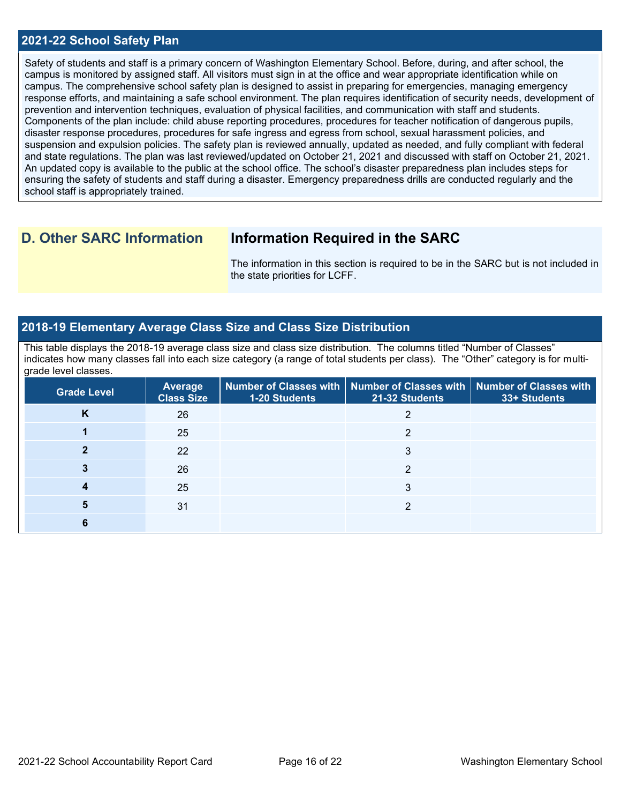### **2021-22 School Safety Plan**

Safety of students and staff is a primary concern of Washington Elementary School. Before, during, and after school, the campus is monitored by assigned staff. All visitors must sign in at the office and wear appropriate identification while on campus. The comprehensive school safety plan is designed to assist in preparing for emergencies, managing emergency response efforts, and maintaining a safe school environment. The plan requires identification of security needs, development of prevention and intervention techniques, evaluation of physical facilities, and communication with staff and students. Components of the plan include: child abuse reporting procedures, procedures for teacher notification of dangerous pupils, disaster response procedures, procedures for safe ingress and egress from school, sexual harassment policies, and suspension and expulsion policies. The safety plan is reviewed annually, updated as needed, and fully compliant with federal and state regulations. The plan was last reviewed/updated on October 21, 2021 and discussed with staff on October 21, 2021. An updated copy is available to the public at the school office. The school's disaster preparedness plan includes steps for ensuring the safety of students and staff during a disaster. Emergency preparedness drills are conducted regularly and the school staff is appropriately trained.

## **D. Other SARC Information Information Required in the SARC**

The information in this section is required to be in the SARC but is not included in the state priorities for LCFF.

### **2018-19 Elementary Average Class Size and Class Size Distribution**

This table displays the 2018-19 average class size and class size distribution. The columns titled "Number of Classes" indicates how many classes fall into each size category (a range of total students per class). The "Other" category is for multigrade level classes.

| <b>Grade Level</b> | <b>Average</b><br><b>Class Size</b> | 1-20 Students | Number of Classes with   Number of Classes with   Number of Classes with<br>21-32 Students | 33+ Students |
|--------------------|-------------------------------------|---------------|--------------------------------------------------------------------------------------------|--------------|
| N                  | 26                                  |               |                                                                                            |              |
|                    | 25                                  |               | ◠                                                                                          |              |
|                    | 22                                  |               | 3                                                                                          |              |
|                    | 26                                  |               | ◠                                                                                          |              |
|                    | 25                                  |               | 3                                                                                          |              |
|                    | 31                                  |               | ◠                                                                                          |              |
|                    |                                     |               |                                                                                            |              |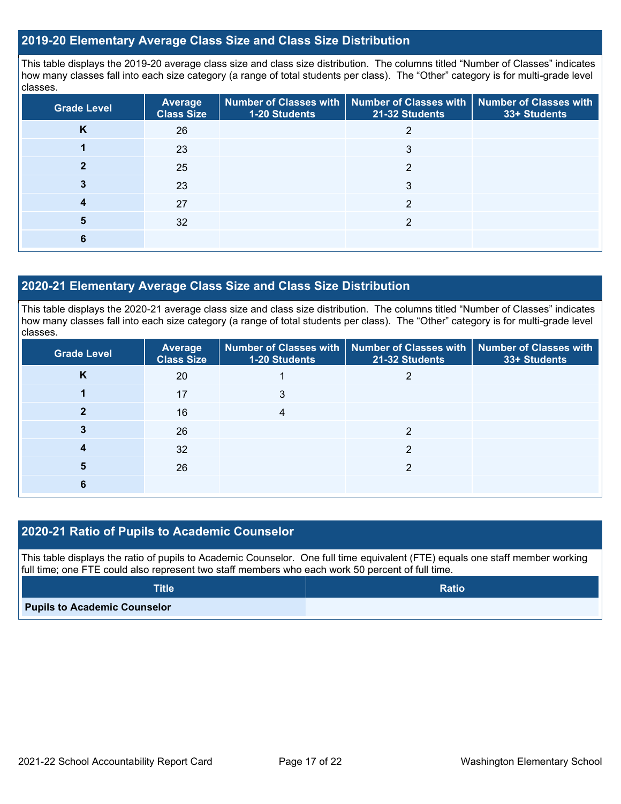### **2019-20 Elementary Average Class Size and Class Size Distribution**

This table displays the 2019-20 average class size and class size distribution. The columns titled "Number of Classes" indicates how many classes fall into each size category (a range of total students per class). The "Other" category is for multi-grade level classes.

| <b>Grade Level</b> | <b>Average</b><br><b>Class Size</b> | 1-20 Students | Number of Classes with   Number of Classes with   Number of Classes with<br>21-32 Students | 33+ Students |
|--------------------|-------------------------------------|---------------|--------------------------------------------------------------------------------------------|--------------|
| n.                 | 26                                  |               |                                                                                            |              |
|                    | 23                                  |               | 3                                                                                          |              |
|                    | 25                                  |               | 2                                                                                          |              |
|                    | 23                                  |               | 3                                                                                          |              |
|                    | 27                                  |               | っ                                                                                          |              |
| 5                  | 32                                  |               | っ                                                                                          |              |
|                    |                                     |               |                                                                                            |              |

### **2020-21 Elementary Average Class Size and Class Size Distribution**

This table displays the 2020-21 average class size and class size distribution. The columns titled "Number of Classes" indicates how many classes fall into each size category (a range of total students per class). The "Other" category is for multi-grade level classes.

| <b>Grade Level</b> | <b>Average</b><br><b>Class Size</b> | 1-20 Students | Number of Classes with   Number of Classes with   Number of Classes with<br>21-32 Students | 33+ Students |
|--------------------|-------------------------------------|---------------|--------------------------------------------------------------------------------------------|--------------|
| K                  | 20                                  |               |                                                                                            |              |
|                    | 17                                  | 3             |                                                                                            |              |
|                    | 16                                  |               |                                                                                            |              |
|                    | 26                                  |               | ◠                                                                                          |              |
|                    | 32                                  |               | っ                                                                                          |              |
| 5                  | 26                                  |               | ◠                                                                                          |              |
|                    |                                     |               |                                                                                            |              |

### **2020-21 Ratio of Pupils to Academic Counselor**

This table displays the ratio of pupils to Academic Counselor. One full time equivalent (FTE) equals one staff member working full time; one FTE could also represent two staff members who each work 50 percent of full time.

| <b>Title</b>                        | <b>Ratio</b> |
|-------------------------------------|--------------|
| <b>Pupils to Academic Counselor</b> |              |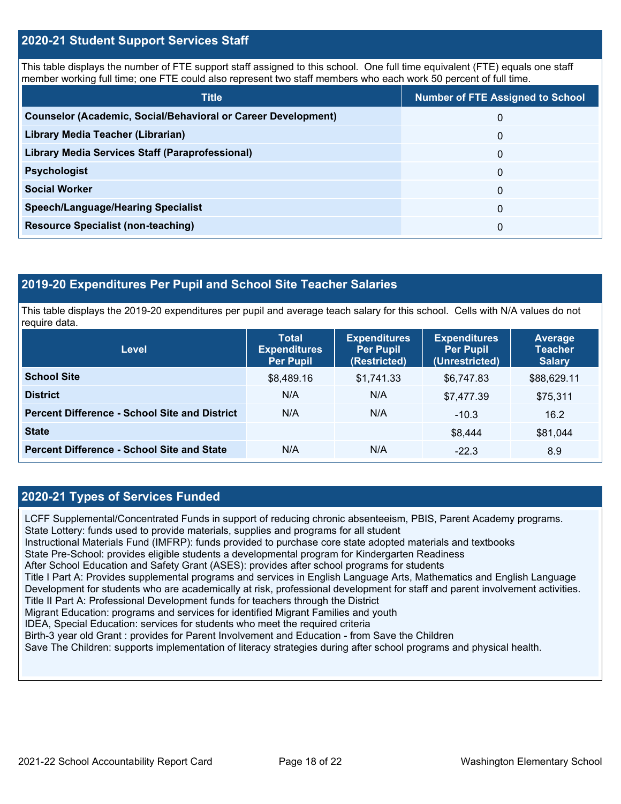### **2020-21 Student Support Services Staff**

This table displays the number of FTE support staff assigned to this school. One full time equivalent (FTE) equals one staff member working full time; one FTE could also represent two staff members who each work 50 percent of full time.

| <b>Title</b>                                                         | <b>Number of FTE Assigned to School</b> |
|----------------------------------------------------------------------|-----------------------------------------|
| <b>Counselor (Academic, Social/Behavioral or Career Development)</b> | 0                                       |
| Library Media Teacher (Librarian)                                    | 0                                       |
| Library Media Services Staff (Paraprofessional)                      | 0                                       |
| <b>Psychologist</b>                                                  | 0                                       |
| <b>Social Worker</b>                                                 | $\Omega$                                |
| <b>Speech/Language/Hearing Specialist</b>                            | 0                                       |
| <b>Resource Specialist (non-teaching)</b>                            | 0                                       |

### **2019-20 Expenditures Per Pupil and School Site Teacher Salaries**

This table displays the 2019-20 expenditures per pupil and average teach salary for this school. Cells with N/A values do not require data.

| <b>Level</b>                                         | <b>Total</b><br><b>Expenditures</b><br><b>Per Pupil</b> | <b>Expenditures</b><br><b>Per Pupil</b><br>(Restricted) | <b>Expenditures</b><br><b>Per Pupil</b><br>(Unrestricted) | <b>Average</b><br><b>Teacher</b><br><b>Salary</b> |
|------------------------------------------------------|---------------------------------------------------------|---------------------------------------------------------|-----------------------------------------------------------|---------------------------------------------------|
| <b>School Site</b>                                   | \$8,489.16                                              | \$1,741.33                                              | \$6,747.83                                                | \$88,629.11                                       |
| <b>District</b>                                      | N/A                                                     | N/A                                                     | \$7,477.39                                                | \$75,311                                          |
| <b>Percent Difference - School Site and District</b> | N/A                                                     | N/A                                                     | $-10.3$                                                   | 16.2                                              |
| <b>State</b>                                         |                                                         |                                                         | \$8.444                                                   | \$81,044                                          |
| <b>Percent Difference - School Site and State</b>    | N/A                                                     | N/A                                                     | $-22.3$                                                   | 8.9                                               |

### **2020-21 Types of Services Funded**

LCFF Supplemental/Concentrated Funds in support of reducing chronic absenteeism, PBIS, Parent Academy programs. State Lottery: funds used to provide materials, supplies and programs for all student Instructional Materials Fund (IMFRP): funds provided to purchase core state adopted materials and textbooks State Pre-School: provides eligible students a developmental program for Kindergarten Readiness After School Education and Safety Grant (ASES): provides after school programs for students Title I Part A: Provides supplemental programs and services in English Language Arts, Mathematics and English Language Development for students who are academically at risk, professional development for staff and parent involvement activities. Title II Part A: Professional Development funds for teachers through the District Migrant Education: programs and services for identified Migrant Families and youth IDEA, Special Education: services for students who meet the required criteria Birth-3 year old Grant : provides for Parent Involvement and Education - from Save the Children Save The Children: supports implementation of literacy strategies during after school programs and physical health.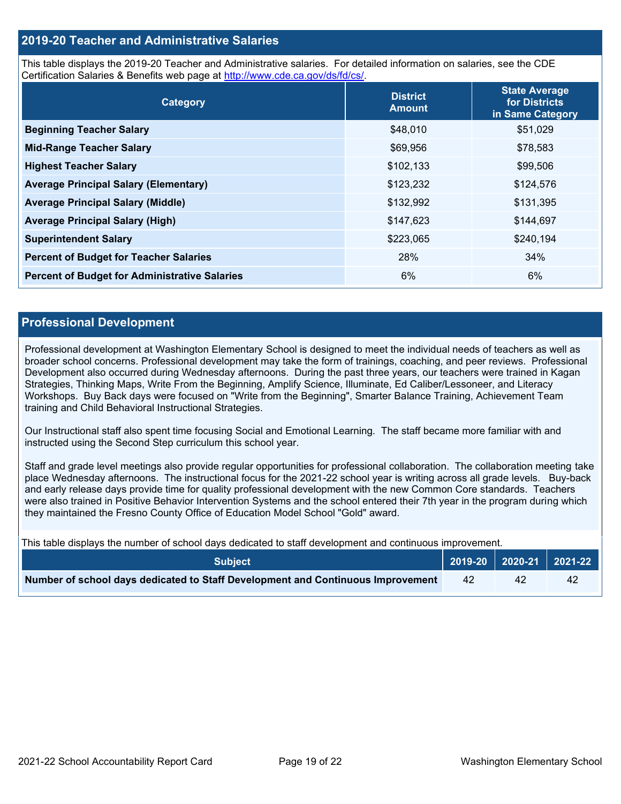### **2019-20 Teacher and Administrative Salaries**

This table displays the 2019-20 Teacher and Administrative salaries. For detailed information on salaries, see the CDE Certification Salaries & Benefits web page at [http://www.cde.ca.gov/ds/fd/cs/.](http://www.cde.ca.gov/ds/fd/cs/)

| Category                                             | <b>District</b><br><b>Amount</b> | <b>State Average</b><br>for Districts<br>in Same Category |
|------------------------------------------------------|----------------------------------|-----------------------------------------------------------|
| <b>Beginning Teacher Salary</b>                      | \$48,010                         | \$51,029                                                  |
| <b>Mid-Range Teacher Salary</b>                      | \$69,956                         | \$78,583                                                  |
| <b>Highest Teacher Salary</b>                        | \$102,133                        | \$99,506                                                  |
| <b>Average Principal Salary (Elementary)</b>         | \$123,232                        | \$124,576                                                 |
| <b>Average Principal Salary (Middle)</b>             | \$132,992                        | \$131,395                                                 |
| <b>Average Principal Salary (High)</b>               | \$147,623                        | \$144,697                                                 |
| <b>Superintendent Salary</b>                         | \$223,065                        | \$240,194                                                 |
| <b>Percent of Budget for Teacher Salaries</b>        | 28%                              | 34%                                                       |
| <b>Percent of Budget for Administrative Salaries</b> | 6%                               | 6%                                                        |

### **Professional Development**

Professional development at Washington Elementary School is designed to meet the individual needs of teachers as well as broader school concerns. Professional development may take the form of trainings, coaching, and peer reviews. Professional Development also occurred during Wednesday afternoons. During the past three years, our teachers were trained in Kagan Strategies, Thinking Maps, Write From the Beginning, Amplify Science, Illuminate, Ed Caliber/Lessoneer, and Literacy Workshops. Buy Back days were focused on "Write from the Beginning", Smarter Balance Training, Achievement Team training and Child Behavioral Instructional Strategies.

Our Instructional staff also spent time focusing Social and Emotional Learning. The staff became more familiar with and instructed using the Second Step curriculum this school year.

Staff and grade level meetings also provide regular opportunities for professional collaboration. The collaboration meeting take place Wednesday afternoons. The instructional focus for the 2021-22 school year is writing across all grade levels. Buy-back and early release days provide time for quality professional development with the new Common Core standards. Teachers were also trained in Positive Behavior Intervention Systems and the school entered their 7th year in the program during which they maintained the Fresno County Office of Education Model School "Gold" award.

This table displays the number of school days dedicated to staff development and continuous improvement.

| <b>Subject</b>                                                                  |    | 2019-20   2020-21   2021-22 |    |
|---------------------------------------------------------------------------------|----|-----------------------------|----|
| Number of school days dedicated to Staff Development and Continuous Improvement | 42 | 42                          | 42 |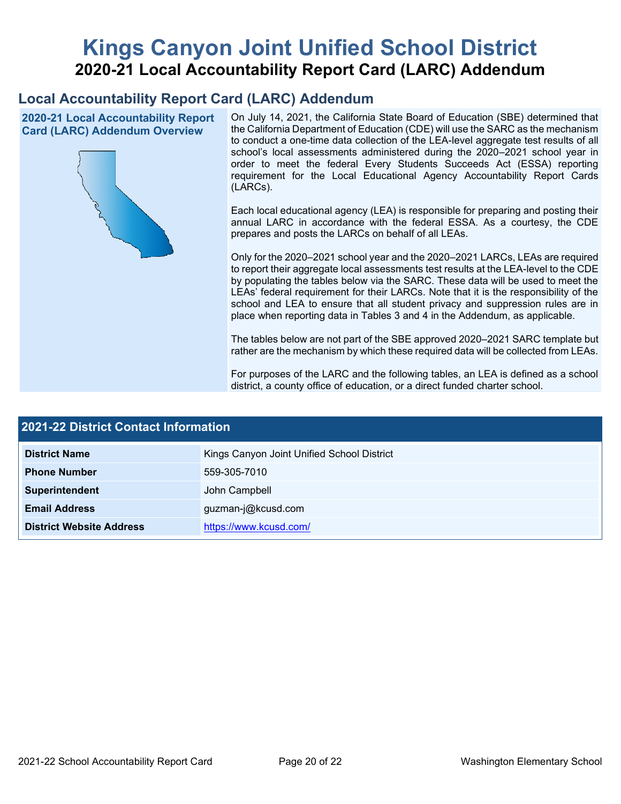# **Kings Canyon Joint Unified School District 2020-21 Local Accountability Report Card (LARC) Addendum**

# **Local Accountability Report Card (LARC) Addendum**

**2020-21 Local Accountability Report Card (LARC) Addendum Overview**



On July 14, 2021, the California State Board of Education (SBE) determined that the California Department of Education (CDE) will use the SARC as the mechanism to conduct a one-time data collection of the LEA-level aggregate test results of all school's local assessments administered during the 2020–2021 school year in order to meet the federal Every Students Succeeds Act (ESSA) reporting requirement for the Local Educational Agency Accountability Report Cards (LARCs).

Each local educational agency (LEA) is responsible for preparing and posting their annual LARC in accordance with the federal ESSA. As a courtesy, the CDE prepares and posts the LARCs on behalf of all LEAs.

Only for the 2020–2021 school year and the 2020–2021 LARCs, LEAs are required to report their aggregate local assessments test results at the LEA-level to the CDE by populating the tables below via the SARC. These data will be used to meet the LEAs' federal requirement for their LARCs. Note that it is the responsibility of the school and LEA to ensure that all student privacy and suppression rules are in place when reporting data in Tables 3 and 4 in the Addendum, as applicable.

The tables below are not part of the SBE approved 2020–2021 SARC template but rather are the mechanism by which these required data will be collected from LEAs.

For purposes of the LARC and the following tables, an LEA is defined as a school district, a county office of education, or a direct funded charter school.

| <b>2021-22 District Contact Information</b> |                                            |  |  |  |
|---------------------------------------------|--------------------------------------------|--|--|--|
| <b>District Name</b>                        | Kings Canyon Joint Unified School District |  |  |  |
| <b>Phone Number</b>                         | 559-305-7010                               |  |  |  |
| Superintendent                              | John Campbell                              |  |  |  |
| <b>Email Address</b>                        | guzman-j@kcusd.com                         |  |  |  |
| <b>District Website Address</b>             | https://www.kcusd.com/                     |  |  |  |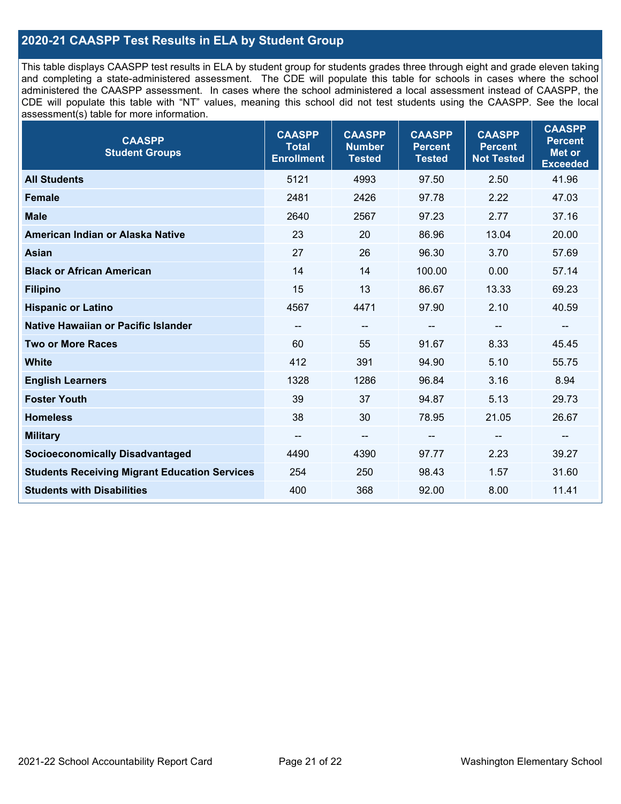### **2020-21 CAASPP Test Results in ELA by Student Group**

This table displays CAASPP test results in ELA by student group for students grades three through eight and grade eleven taking and completing a state-administered assessment. The CDE will populate this table for schools in cases where the school administered the CAASPP assessment. In cases where the school administered a local assessment instead of CAASPP, the CDE will populate this table with "NT" values, meaning this school did not test students using the CAASPP. See the local assessment(s) table for more information.

| <b>CAASPP</b><br><b>Student Groups</b>               | <b>CAASPP</b><br><b>Total</b><br><b>Enrollment</b> | <b>CAASPP</b><br><b>Number</b><br><b>Tested</b> | <b>CAASPP</b><br><b>Percent</b><br><b>Tested</b> | <b>CAASPP</b><br><b>Percent</b><br><b>Not Tested</b> | <b>CAASPP</b><br><b>Percent</b><br><b>Met or</b><br><b>Exceeded</b> |
|------------------------------------------------------|----------------------------------------------------|-------------------------------------------------|--------------------------------------------------|------------------------------------------------------|---------------------------------------------------------------------|
| <b>All Students</b>                                  | 5121                                               | 4993                                            | 97.50                                            | 2.50                                                 | 41.96                                                               |
| <b>Female</b>                                        | 2481                                               | 2426                                            | 97.78                                            | 2.22                                                 | 47.03                                                               |
| <b>Male</b>                                          | 2640                                               | 2567                                            | 97.23                                            | 2.77                                                 | 37.16                                                               |
| American Indian or Alaska Native                     | 23                                                 | 20                                              | 86.96                                            | 13.04                                                | 20.00                                                               |
| <b>Asian</b>                                         | 27                                                 | 26                                              | 96.30                                            | 3.70                                                 | 57.69                                                               |
| <b>Black or African American</b>                     | 14                                                 | 14                                              | 100.00                                           | 0.00                                                 | 57.14                                                               |
| <b>Filipino</b>                                      | 15                                                 | 13                                              | 86.67                                            | 13.33                                                | 69.23                                                               |
| <b>Hispanic or Latino</b>                            | 4567                                               | 4471                                            | 97.90                                            | 2.10                                                 | 40.59                                                               |
| Native Hawaiian or Pacific Islander                  | --                                                 | $\overline{\phantom{m}}$                        | --                                               | $\overline{\phantom{a}}$                             | $\overline{\phantom{a}}$                                            |
| <b>Two or More Races</b>                             | 60                                                 | 55                                              | 91.67                                            | 8.33                                                 | 45.45                                                               |
| <b>White</b>                                         | 412                                                | 391                                             | 94.90                                            | 5.10                                                 | 55.75                                                               |
| <b>English Learners</b>                              | 1328                                               | 1286                                            | 96.84                                            | 3.16                                                 | 8.94                                                                |
| <b>Foster Youth</b>                                  | 39                                                 | 37                                              | 94.87                                            | 5.13                                                 | 29.73                                                               |
| <b>Homeless</b>                                      | 38                                                 | 30                                              | 78.95                                            | 21.05                                                | 26.67                                                               |
| <b>Military</b>                                      | --                                                 | --                                              | --                                               | --                                                   | --                                                                  |
| <b>Socioeconomically Disadvantaged</b>               | 4490                                               | 4390                                            | 97.77                                            | 2.23                                                 | 39.27                                                               |
| <b>Students Receiving Migrant Education Services</b> | 254                                                | 250                                             | 98.43                                            | 1.57                                                 | 31.60                                                               |
| <b>Students with Disabilities</b>                    | 400                                                | 368                                             | 92.00                                            | 8.00                                                 | 11.41                                                               |